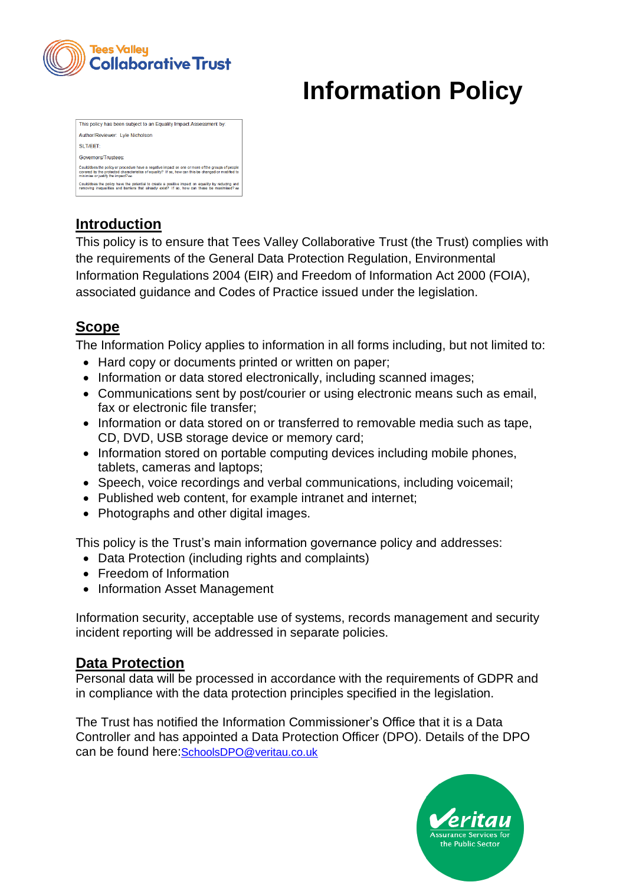

# **Information Policy**

| This policy has been subject to an Equality Impact Assessment by:                                                                                                                                                                             |                                                                                                                                                                                                  |  |
|-----------------------------------------------------------------------------------------------------------------------------------------------------------------------------------------------------------------------------------------------|--------------------------------------------------------------------------------------------------------------------------------------------------------------------------------------------------|--|
| Author/Reviewer: Lyle Nicholson                                                                                                                                                                                                               |                                                                                                                                                                                                  |  |
| SLIT/FFT:                                                                                                                                                                                                                                     |                                                                                                                                                                                                  |  |
| Governors/Trustees:                                                                                                                                                                                                                           |                                                                                                                                                                                                  |  |
| Could/does the policy or procedure have a negative impact on one or more of the groups of people<br>covered by the protected characteristics of equality? If so, how can this be changed or modified to<br>minimise or justify the impact? no |                                                                                                                                                                                                  |  |
|                                                                                                                                                                                                                                               | Could/does the policy have the potential to create a positive impact on equality by reducing and<br>removing inequalities and barriers that already exist? If so, how can these be maximised? no |  |
|                                                                                                                                                                                                                                               |                                                                                                                                                                                                  |  |

# **Introduction**

This policy is to ensure that Tees Valley Collaborative Trust (the Trust) complies with the requirements of the General Data Protection Regulation, Environmental Information Regulations 2004 (EIR) and Freedom of Information Act 2000 (FOIA), associated guidance and Codes of Practice issued under the legislation.

# **Scope**

The Information Policy applies to information in all forms including, but not limited to:

- Hard copy or documents printed or written on paper;
- Information or data stored electronically, including scanned images;
- Communications sent by post/courier or using electronic means such as email, fax or electronic file transfer;
- Information or data stored on or transferred to removable media such as tape, CD, DVD, USB storage device or memory card;
- Information stored on portable computing devices including mobile phones, tablets, cameras and laptops;
- Speech, voice recordings and verbal communications, including voicemail;
- Published web content, for example intranet and internet;
- Photographs and other digital images.

This policy is the Trust's main information governance policy and addresses:

- Data Protection (including rights and complaints)
- Freedom of Information
- Information Asset Management

Information security, acceptable use of systems, records management and security incident reporting will be addressed in separate policies.

## **Data Protection**

Personal data will be processed in accordance with the requirements of GDPR and in compliance with the data protection principles specified in the legislation.

The Trust has notified the Information Commissioner's Office that it is a Data Controller and has appointed a Data Protection Officer (DPO). Details of the DPO can be found here:[SchoolsDPO@veritau.co.uk](http://192.168.1.202/veritau/finance/contact_dpo.html)

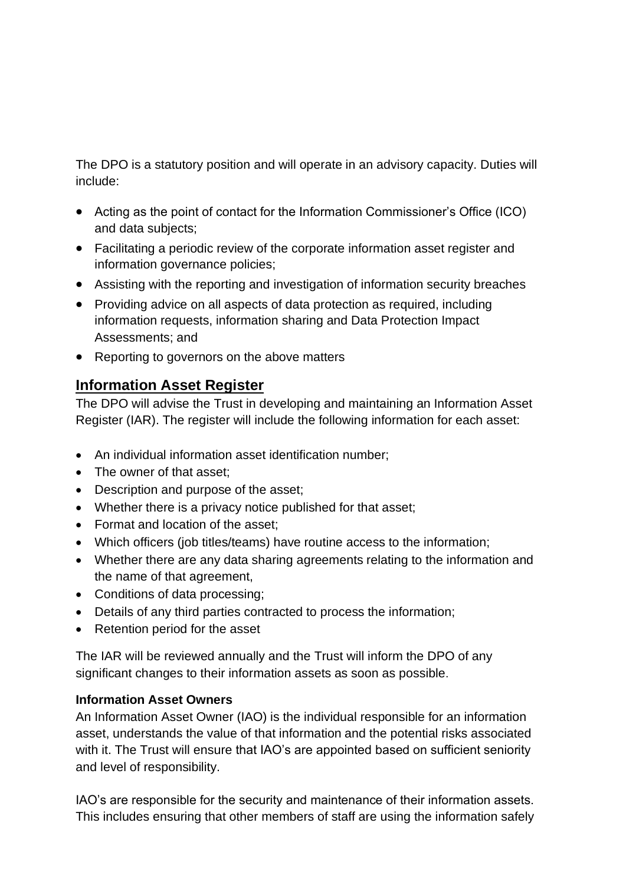The DPO is a statutory position and will operate in an advisory capacity. Duties will include:

- Acting as the point of contact for the Information Commissioner's Office (ICO) and data subjects;
- Facilitating a periodic review of the corporate information asset register and information governance policies;
- Assisting with the reporting and investigation of information security breaches
- Providing advice on all aspects of data protection as required, including information requests, information sharing and Data Protection Impact Assessments; and
- Reporting to governors on the above matters

#### **Information Asset Register**

The DPO will advise the Trust in developing and maintaining an Information Asset Register (IAR). The register will include the following information for each asset:

- An individual information asset identification number;
- The owner of that asset;
- Description and purpose of the asset;
- Whether there is a privacy notice published for that asset;
- Format and location of the asset:
- Which officers (job titles/teams) have routine access to the information;
- Whether there are any data sharing agreements relating to the information and the name of that agreement,
- Conditions of data processing;
- Details of any third parties contracted to process the information;
- Retention period for the asset

The IAR will be reviewed annually and the Trust will inform the DPO of any significant changes to their information assets as soon as possible.

#### **Information Asset Owners**

An Information Asset Owner (IAO) is the individual responsible for an information asset, understands the value of that information and the potential risks associated with it. The Trust will ensure that IAO's are appointed based on sufficient seniority and level of responsibility.

IAO's are responsible for the security and maintenance of their information assets. This includes ensuring that other members of staff are using the information safely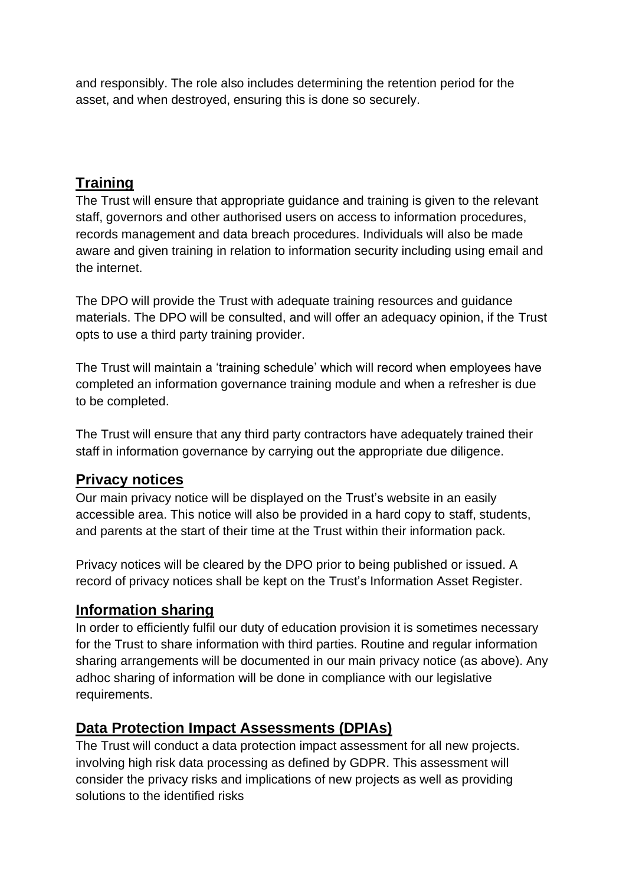and responsibly. The role also includes determining the retention period for the asset, and when destroyed, ensuring this is done so securely.

# **Training**

The Trust will ensure that appropriate guidance and training is given to the relevant staff, governors and other authorised users on access to information procedures, records management and data breach procedures. Individuals will also be made aware and given training in relation to information security including using email and the internet.

The DPO will provide the Trust with adequate training resources and guidance materials. The DPO will be consulted, and will offer an adequacy opinion, if the Trust opts to use a third party training provider.

The Trust will maintain a 'training schedule' which will record when employees have completed an information governance training module and when a refresher is due to be completed.

The Trust will ensure that any third party contractors have adequately trained their staff in information governance by carrying out the appropriate due diligence.

## **Privacy notices**

Our main privacy notice will be displayed on the Trust's website in an easily accessible area. This notice will also be provided in a hard copy to staff, students, and parents at the start of their time at the Trust within their information pack.

Privacy notices will be cleared by the DPO prior to being published or issued. A record of privacy notices shall be kept on the Trust's Information Asset Register.

## **Information sharing**

In order to efficiently fulfil our duty of education provision it is sometimes necessary for the Trust to share information with third parties. Routine and regular information sharing arrangements will be documented in our main privacy notice (as above). Any adhoc sharing of information will be done in compliance with our legislative requirements.

## **Data Protection Impact Assessments (DPIAs)**

The Trust will conduct a data protection impact assessment for all new projects. involving high risk data processing as defined by GDPR. This assessment will consider the privacy risks and implications of new projects as well as providing solutions to the identified risks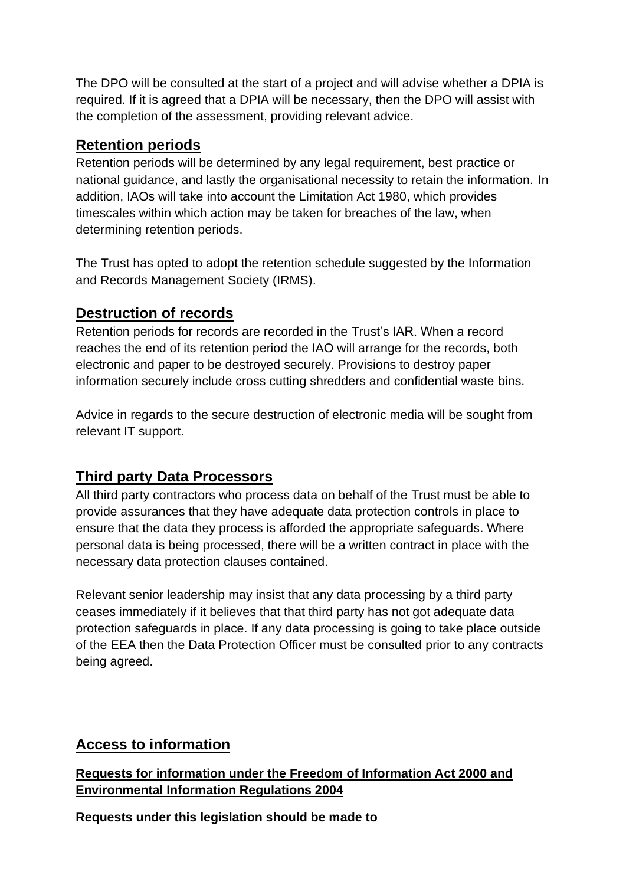The DPO will be consulted at the start of a project and will advise whether a DPIA is required. If it is agreed that a DPIA will be necessary, then the DPO will assist with the completion of the assessment, providing relevant advice.

#### **Retention periods**

Retention periods will be determined by any legal requirement, best practice or national guidance, and lastly the organisational necessity to retain the information. In addition, IAOs will take into account the Limitation Act 1980, which provides timescales within which action may be taken for breaches of the law, when determining retention periods.

The Trust has opted to adopt the retention schedule suggested by the Information and Records Management Society (IRMS).

#### **Destruction of records**

Retention periods for records are recorded in the Trust's IAR. When a record reaches the end of its retention period the IAO will arrange for the records, both electronic and paper to be destroyed securely. Provisions to destroy paper information securely include cross cutting shredders and confidential waste bins.

Advice in regards to the secure destruction of electronic media will be sought from relevant IT support.

## **Third party Data Processors**

All third party contractors who process data on behalf of the Trust must be able to provide assurances that they have adequate data protection controls in place to ensure that the data they process is afforded the appropriate safeguards. Where personal data is being processed, there will be a written contract in place with the necessary data protection clauses contained.

Relevant senior leadership may insist that any data processing by a third party ceases immediately if it believes that that third party has not got adequate data protection safeguards in place. If any data processing is going to take place outside of the EEA then the Data Protection Officer must be consulted prior to any contracts being agreed.

## **Access to information**

#### **Requests for information under the Freedom of Information Act 2000 and Environmental Information Regulations 2004**

**Requests under this legislation should be made to**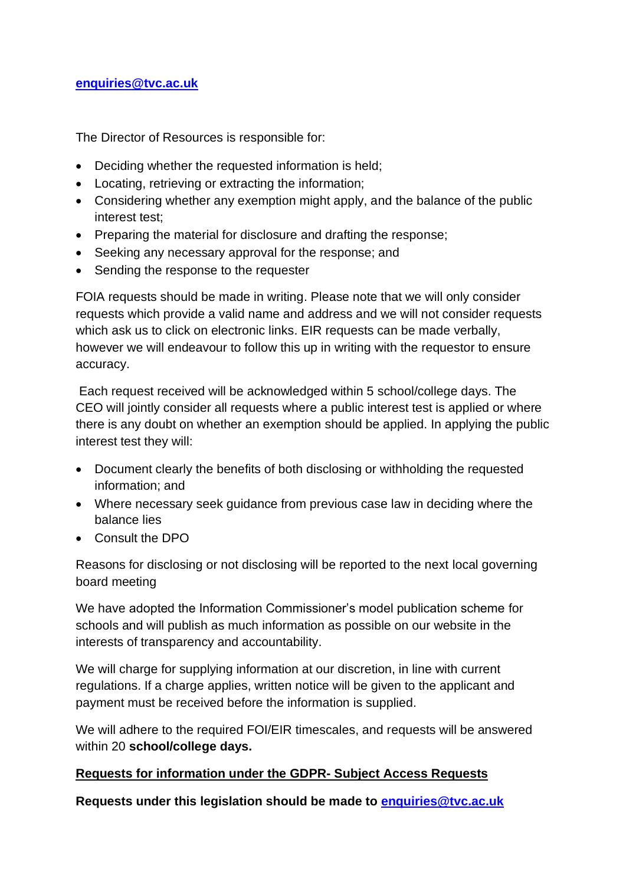#### **[enquiries@tvc.ac.uk](mailto:enquiries@tvc.ac.uk)**

The Director of Resources is responsible for:

- Deciding whether the requested information is held;
- Locating, retrieving or extracting the information;
- Considering whether any exemption might apply, and the balance of the public interest test;
- Preparing the material for disclosure and drafting the response;
- Seeking any necessary approval for the response; and
- Sending the response to the requester

FOIA requests should be made in writing. Please note that we will only consider requests which provide a valid name and address and we will not consider requests which ask us to click on electronic links. EIR requests can be made verbally, however we will endeavour to follow this up in writing with the requestor to ensure accuracy.

Each request received will be acknowledged within 5 school/college days. The CEO will jointly consider all requests where a public interest test is applied or where there is any doubt on whether an exemption should be applied. In applying the public interest test they will:

- Document clearly the benefits of both disclosing or withholding the requested information; and
- Where necessary seek guidance from previous case law in deciding where the balance lies
- Consult the DPO

Reasons for disclosing or not disclosing will be reported to the next local governing board meeting

We have adopted the Information Commissioner's model publication scheme for schools and will publish as much information as possible on our website in the interests of transparency and accountability.

We will charge for supplying information at our discretion, in line with current regulations. If a charge applies, written notice will be given to the applicant and payment must be received before the information is supplied.

We will adhere to the required FOI/EIR timescales, and requests will be answered within 20 **school/college days.**

#### **Requests for information under the GDPR- Subject Access Requests**

**Requests under this legislation should be made to [enquiries@tvc.ac.uk](mailto:enquiries@tvc.ac.uk)**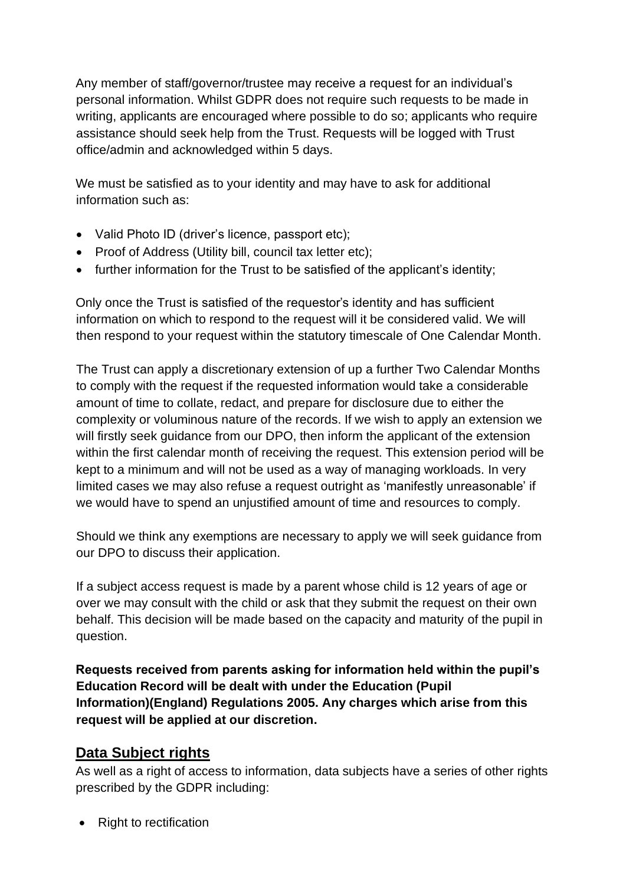Any member of staff/governor/trustee may receive a request for an individual's personal information. Whilst GDPR does not require such requests to be made in writing, applicants are encouraged where possible to do so; applicants who require assistance should seek help from the Trust. Requests will be logged with Trust office/admin and acknowledged within 5 days.

We must be satisfied as to your identity and may have to ask for additional information such as:

- Valid Photo ID (driver's licence, passport etc);
- Proof of Address (Utility bill, council tax letter etc);
- further information for the Trust to be satisfied of the applicant's identity;

Only once the Trust is satisfied of the requestor's identity and has sufficient information on which to respond to the request will it be considered valid. We will then respond to your request within the statutory timescale of One Calendar Month.

The Trust can apply a discretionary extension of up a further Two Calendar Months to comply with the request if the requested information would take a considerable amount of time to collate, redact, and prepare for disclosure due to either the complexity or voluminous nature of the records. If we wish to apply an extension we will firstly seek guidance from our DPO, then inform the applicant of the extension within the first calendar month of receiving the request. This extension period will be kept to a minimum and will not be used as a way of managing workloads. In very limited cases we may also refuse a request outright as 'manifestly unreasonable' if we would have to spend an unjustified amount of time and resources to comply.

Should we think any exemptions are necessary to apply we will seek guidance from our DPO to discuss their application.

If a subject access request is made by a parent whose child is 12 years of age or over we may consult with the child or ask that they submit the request on their own behalf. This decision will be made based on the capacity and maturity of the pupil in question.

**Requests received from parents asking for information held within the pupil's Education Record will be dealt with under the Education (Pupil Information)(England) Regulations 2005. Any charges which arise from this request will be applied at our discretion.** 

## **Data Subject rights**

As well as a right of access to information, data subjects have a series of other rights prescribed by the GDPR including:

• Right to rectification